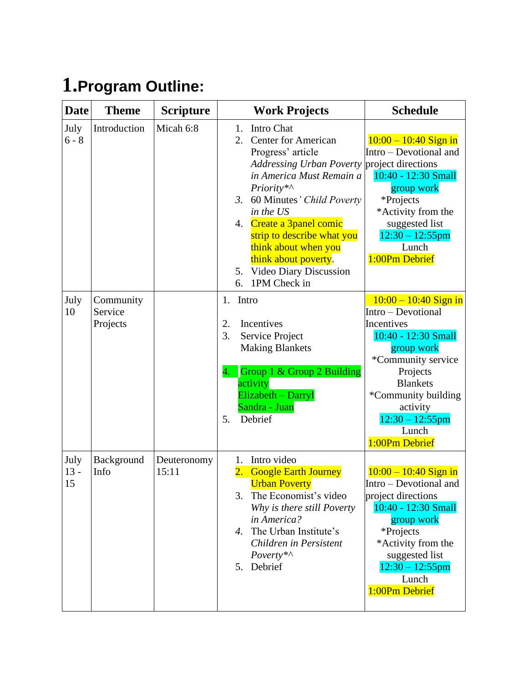## **1.Program Outline:**

| <b>Date</b>          | <b>Theme</b>                     | <b>Scripture</b>     | <b>Work Projects</b>                                                                                                                                                                                                                                                                                                                                                   | <b>Schedule</b>                                                                                                                                                                                                                           |
|----------------------|----------------------------------|----------------------|------------------------------------------------------------------------------------------------------------------------------------------------------------------------------------------------------------------------------------------------------------------------------------------------------------------------------------------------------------------------|-------------------------------------------------------------------------------------------------------------------------------------------------------------------------------------------------------------------------------------------|
| July<br>$6 - 8$      | Introduction                     | Micah 6:8            | Intro Chat<br>1.<br><b>Center for American</b><br>2.<br>Progress' article<br><b>Addressing Urban Poverty</b><br>in America Must Remain a<br>Priority*^<br>60 Minutes' Child Poverty<br>3.<br>in the US<br>Create a 3panel comic<br>4.<br>strip to describe what you<br>think about when you<br>think about poverty.<br>5. Video Diary Discussion<br>1PM Check in<br>6. | $10:00 - 10:40$ Sign in<br>Intro – Devotional and<br>project directions<br>10:40 - 12:30 Small<br>group work<br>*Projects<br>*Activity from the<br>suggested list<br>$12:30 - 12:55$ pm<br>Lunch<br>1:00Pm Debrief                        |
| July<br>10           | Community<br>Service<br>Projects |                      | Intro<br>1.<br>Incentives<br>2.<br>3.<br>Service Project<br><b>Making Blankets</b><br>Group 1 & Group 2 Building<br>4.<br>activity<br>Elizabeth - Darryl<br>Sandra - Juan<br>Debrief<br>5.                                                                                                                                                                             | $10:00 - 10:40$ Sign in<br>Intro - Devotional<br>Incentives<br>10:40 - 12:30 Small<br>group work<br>*Community service<br>Projects<br><b>Blankets</b><br>*Community building<br>activity<br>$12:30 - 12:55$ pm<br>Lunch<br>1:00Pm Debrief |
| July<br>$13 -$<br>15 | Background<br>Info               | Deuteronomy<br>15:11 | Intro video<br>1.<br>$\overline{2}$ .<br><b>Google Earth Journey</b><br><b>Urban Poverty</b><br>The Economist's video<br>Why is there still Poverty<br>in America?<br>The Urban Institute's<br>$\overline{4}$<br>Children in Persistent<br>Poverty*^<br>5. Debrief                                                                                                     | $10:00 - 10:40$ Sign in<br>Intro - Devotional and<br>project directions<br>10:40 - 12:30 Small<br>group work<br>*Projects<br>*Activity from the<br>suggested list<br>$12:30 - 12:55$ pm<br>Lunch<br>1:00Pm Debrief                        |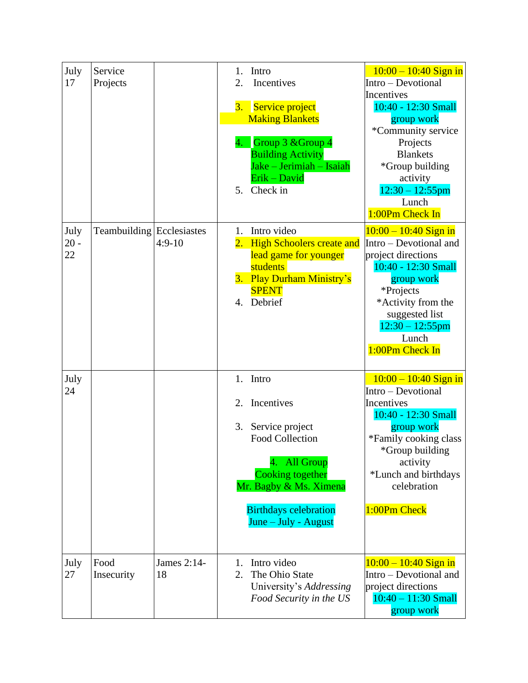| July       | Service                   |             | Intro<br>1.                  | $10:00 - 10:40$ Sign in                       |
|------------|---------------------------|-------------|------------------------------|-----------------------------------------------|
| 17         | Projects                  |             | 2.<br>Incentives             | Intro - Devotional                            |
|            |                           |             |                              | Incentives                                    |
|            |                           |             | Service project<br>3.        | 10:40 - 12:30 Small                           |
|            |                           |             | <b>Making Blankets</b>       | group work                                    |
|            |                           |             |                              | *Community service                            |
|            |                           |             | 4. Group 3 & Group 4         | Projects                                      |
|            |                           |             | <b>Building Activity</b>     | <b>Blankets</b>                               |
|            |                           |             | Jake – Jerimiah – Isaiah     | *Group building                               |
|            |                           |             | Erik - David                 | activity                                      |
|            |                           |             | Check in<br>5.               | $12:30 - 12:55$ pm                            |
|            |                           |             |                              | Lunch                                         |
|            |                           |             |                              | 1:00Pm Check In                               |
| July       | Teambuilding Ecclesiastes |             | Intro video<br>1.            | $10:00 - 10:40$ Sign in                       |
| $20 -$     |                           | $4:9-10$    | 2. High Schoolers create and | Intro – Devotional and                        |
| 22         |                           |             | lead game for younger        | project directions                            |
|            |                           |             | students                     | 10:40 - 12:30 Small                           |
|            |                           |             | 3. Play Durham Ministry's    | group work                                    |
|            |                           |             | <b>SPENT</b>                 | *Projects                                     |
|            |                           |             | 4. Debrief                   | *Activity from the                            |
|            |                           |             |                              | suggested list                                |
|            |                           |             |                              | $12:30 - 12:55$ pm                            |
|            |                           |             |                              | Lunch                                         |
|            |                           |             |                              | 1:00Pm Check In                               |
|            |                           |             |                              |                                               |
| July<br>24 |                           |             | 1. Intro                     | $10:00 - 10:40$ Sign in<br>Intro - Devotional |
|            |                           |             | Incentives<br>2.             | Incentives                                    |
|            |                           |             |                              | 10:40 - 12:30 Small                           |
|            |                           |             | 3.<br>Service project        | group work                                    |
|            |                           |             | <b>Food Collection</b>       | *Family cooking class                         |
|            |                           |             |                              | *Group building                               |
|            |                           |             | <b>All Group</b>             | activity                                      |
|            |                           |             | <b>Cooking together</b>      | *Lunch and birthdays                          |
|            |                           |             | Mr. Bagby & Ms. Ximena       | celebration                                   |
|            |                           |             |                              |                                               |
|            |                           |             | <b>Birthdays celebration</b> | 1:00Pm Check                                  |
|            |                           |             | June – July - August         |                                               |
|            |                           |             |                              |                                               |
|            |                           |             |                              |                                               |
| July       | Food                      | James 2:14- | Intro video<br>1.            | $10:00 - 10:40$ Sign in                       |
| 27         | Insecurity                | 18          | 2.<br>The Ohio State         | Intro – Devotional and                        |
|            |                           |             | University's Addressing      | project directions                            |
|            |                           |             | Food Security in the US      | $10:40 - 11:30$ Small                         |
|            |                           |             |                              | group work                                    |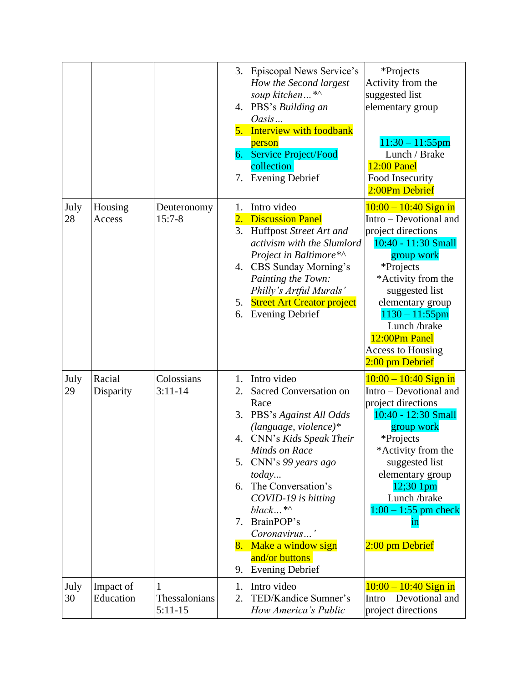|            |                        |                                 | 7.                               | 3. Episcopal News Service's<br>How the Second largest<br>soup kitchen*^<br>4. PBS's Building an<br>Oasis<br>5. Interview with foodbank<br>person<br>6. Service Project/Food<br>collection<br><b>Evening Debrief</b>                                                                                                                                            | *Projects<br>Activity from the<br>suggested list<br>elementary group<br>$11:30 - 11:55$ pm<br>Lunch / Brake<br><b>12:00 Panel</b><br>Food Insecurity<br>2:00Pm Debrief                                                                                                                     |
|------------|------------------------|---------------------------------|----------------------------------|----------------------------------------------------------------------------------------------------------------------------------------------------------------------------------------------------------------------------------------------------------------------------------------------------------------------------------------------------------------|--------------------------------------------------------------------------------------------------------------------------------------------------------------------------------------------------------------------------------------------------------------------------------------------|
| July<br>28 | Housing<br>Access      | Deuteronomy<br>$15:7-8$         | 1.<br>3.                         | Intro video<br>2. Discussion Panel<br>Huffpost Street Art and<br>activism with the Slumlord<br>Project in Baltimore*^<br>4. CBS Sunday Morning's<br>Painting the Town:<br>Philly's Artful Murals'<br>5. Street Art Creator project<br>6. Evening Debrief                                                                                                       | $10:00 - 10:40$ Sign in<br>Intro – Devotional and<br>project directions<br>10:40 - 11:30 Small<br>group work<br>*Projects<br>*Activity from the<br>suggested list<br>elementary group<br>$1130 - 11:55$ pm<br>Lunch /brake<br>12:00Pm Panel<br><b>Access to Housing</b><br>2:00 pm Debrief |
| July<br>29 | Racial<br>Disparity    | Colossians<br>$3:11 - 14$       | 1.<br>2.<br>5.<br>6.<br>7.<br>9. | Intro video<br>Sacred Conversation on<br>Race<br>3. PBS's Against All Odds<br>$(language, violence)*$<br>4. CNN's Kids Speak Their<br><b>Minds on Race</b><br>CNN's 99 years ago<br><i>today</i><br>The Conversation's<br>COVID-19 is hitting<br>$black$ *^<br>BrainPOP's<br>Coronavirus'<br>8. Make a window sign<br>and/or buttons<br><b>Evening Debrief</b> | $10:00 - 10:40$ Sign in<br>Intro – Devotional and<br>project directions<br>10:40 - 12:30 Small<br>group work<br>*Projects<br>*Activity from the<br>suggested list<br>elementary group<br>12;30 1pm<br>Lunch /brake<br>$1:00 - 1:55$ pm check<br>in<br>2:00 pm Debrief                      |
| July<br>30 | Impact of<br>Education | 1<br>Thessalonians<br>$5:11-15$ | 1.<br>2.                         | Intro video<br>TED/Kandice Sumner's<br>How America's Public                                                                                                                                                                                                                                                                                                    | $10:00 - 10:40$ Sign in<br>Intro – Devotional and<br>project directions                                                                                                                                                                                                                    |